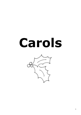# **Carols**

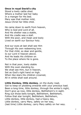### **Once in royal David's city**

Stood a lowly cattle shed. Where a mother laid her baby In a manger for His bed. Mary was that mother mild, Jesus Christ her little child.

He came down to earth from heaven, Who is God and Lord of all. And His shelter was a stable, And His cradle was a stall. With the poor, and mean and lowly Lived on earth our Saviour holy.

And our eyes at last shall see Him Through His own redeeming love. For that child, so dear and gentle, Is our Lord in heaven above. And He leads His children on To the place where He is gone.

Not in that poor, lowly stable With the oxen standing by. We shall see Him, but in heaven, Set as God's right hand on high. When like stars His children crowned, All in white shall wait around.

**Little Donkey, little donkey**, on the dusty road, Got to keep on plodding onwards with your precious load. Been a long time, little donkey, through the winter's night, Don't give up now, little donkey, Bethlehem's in sight. Ring out those bells tonight, Bethlehem, Bethlehem, Follow that star tonight, Bethlehem, Bethlehem, Little donkey, little donkey, had a heavy day, Little donkey, carry Mary, safely on her way, (last time) Little donkey, carry Mary safely on her way.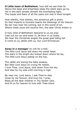**O Little town of Bethlehem**, how still we see thee lie Above the deep and dreamless sleep the silent stars go by. Yet in the dark streets shineth the everlasting light; The hopes and fears of all the years are met in thee tonight.

How silently, how silently, the wondrous gift is given. So God imparts to humans hearts the blessings of His heaven. No ear may hear His coming, but in this world of sin. Where meek souls will receive Him, the dear Christ enters in.

O holy child of Bethlehem descend to us we pray Cast out our sin and enter in, be born in us today. We hear the Christmas angels the great glad tiding tell O come to us, abide with us, Our Lord Emmanuel.

**Away in a manager** no crib for a bed, The little Lord Jesus laid down His sweet head. The stars in the bright sky looked down where He lay, The little Lord Jesus asleep on the hay.

The cattle are lowing the baby awakes, But little Lord Jesus no crying He makes. I love Thee, Lord Jesus, look down from the sky And stay by my side until morning is nigh.

Be near me, Lord Jesus, I ask Thee to stay Close by me forever, and love me, I pray, Bless all the dear children in Thy tender care, And fit us for heaven to love with Thee there.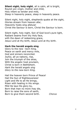**Silent night, holy night**, all is calm, all is bright, Round yon virgin, mother and child, Holy infant so tender and mild, Sleep in heavenly peace, sleep in heavenly peace.

Silent night, holy night, shepherds quake at the sight, Glories stream from heaven afar, Heavenly hosts sing alleluia! Christ the Saviour is born, Christ the Saviour is born.

Silent night, holy night, Son of God love's pure light, Radiant beams from thy Holy face, with the dawn of redeeming grace, Jesus Lord at thy birth, Jesus Lord at thy birth.

#### **Hark the herald angels sing**

Glory to the new –born King. Peace on earth and mercy mile, God and sinners reconciled. Joyful, all ye nations, rise, Join the triumph of the skies, With the angelic host proclaim, Christ is born in Bethlehem. *Hark the herald angels sing Glory to the new-born King.*

Hail the heaven born Prince of Peace! Hail the Sun of Righteousness! Light and life to all He brings, Risen with healing in His wings. Mild He lays His glory by, Born that man no more may die, Born to raise the sons of earth, Born to give them second birth. *Chorus*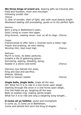**We three kings of orient are**, bearing gifts we traverse afar. Field and fountain, moor and mountain Following yonder star. *chorus O, Star of wonder, start of light, star with royal beauty bright Westward leading still proceeding, guide us to thy perfect light.* Melchior Born a king in Bethlehem's plain, Gold I bring to crown Him again King forever, ceasing never, over us all to reign. *Chorus* Caspar Frankincense to offer have I, Incense owns a Deity nigh. Prayer and praising, all men raising, Worship Him, God most high. *Chorus* Balthazar Myrrh is mine, its bitter perfume, breaths a life of gathering gloom. Sorrowing, sighing, bleeding, dying, Sealed in a stone-cold tomb. *Chorus* Glorious now behold him arise, King and God and sacrifice. Alleluia, Alleluia, Earth to heaven replies *Chorus* **Jingle bells, jingle bells**, jingle all the way. Oh! What fun it is to ride in a one-horse open sleigh. Dashing through the snow in a one-horse open sleigh, O'er the fields we go, laughing all the way. Bells on bobtail ring, making spirits bright, What fun it is to ride and sing a sleighing song tonight.... **O Come all ye faithful**, joyful and triumphant O come ye, O come ye to Bethlehem,

Come and behold Him born the King of Angels: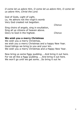*O come let us adore Him, O come let us adore Him, O come let us adore Him, Christ the Lord.*

God of Gods, Light of Light, Lo, He abhors not the virgin's womb Very God created not begotten.

*Chorus*

Sing choirs of angels, sing in exultation, Sing all ye citizens of heaven above. Glory to God in the highest. *Chorus*

#### **We wish you a merry Christmas**

We wish you a merry Christmas, we wish you a merry Christmas and a happy New Year. Good tidings we bring to you and your kin. We wish you a merry Christmas and a Happy New Year.

Now bring us some figgy pudding…..And bring it out here. For we all like a figgy pudding ……And bring it out here. We won't go until we get some….So bring it out he